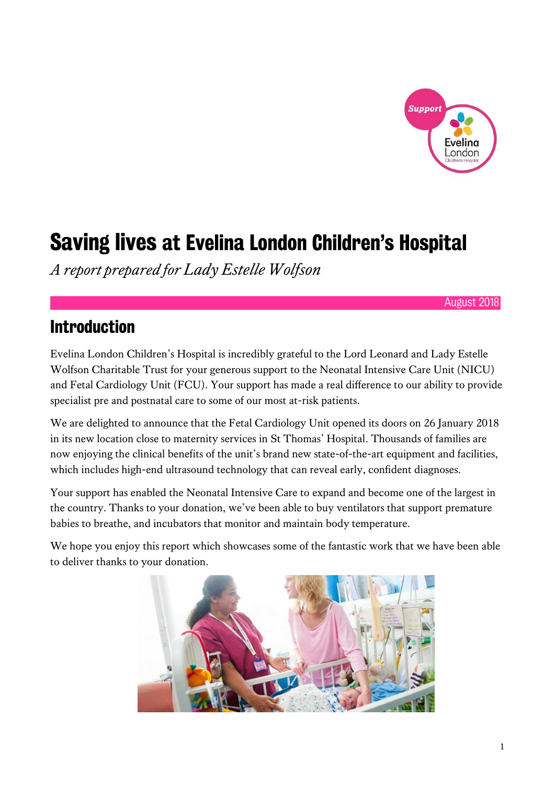

# Saving lives at Evelina London Children's Hospital

*A report prepared for Lady Estelle Wolfson*

August 2018

#### Introduction

Evelina London Children's Hospital is incredibly grateful to the Lord Leonard and Lady Estelle Wolfson Charitable Trust for your generous support to the Neonatal Intensive Care Unit (NICU) and Fetal Cardiology Unit (FCU). Your support has made a real difference to our ability to provide specialist pre and postnatal care to some of our most at-risk patients.

We are delighted to announce that the Fetal Cardiology Unit opened its doors on 26 January 2018 in its new location close to maternity services in St Thomas' Hospital. Thousands of families are now enjoying the clinical benefits of the unit's brand new state-of-the-art equipment and facilities, which includes high-end ultrasound technology that can reveal early, confident diagnoses.

Your support has enabled the Neonatal Intensive Care to expand and become one of the largest in the country. Thanks to your donation, we've been able to buy ventilators that support premature babies to breathe, and incubators that monitor and maintain body temperature.

We hope you enjoy this report which showcases some of the fantastic work that we have been able to deliver thanks to your donation.

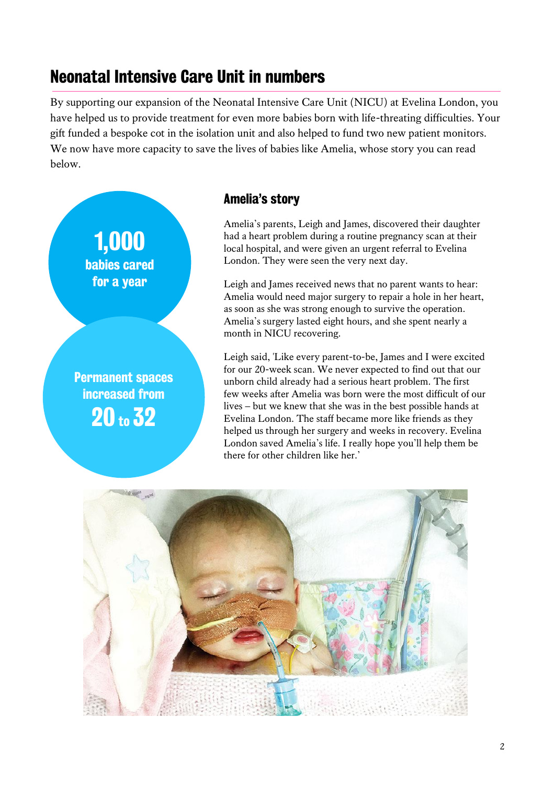#### Neonatal Intensive Care Unit in numbers

By supporting our expansion of the Neonatal Intensive Care Unit (NICU) at Evelina London, you have helped us to provide treatment for even more babies born with life-threating difficulties. Your gift funded a bespoke cot in the isolation unit and also helped to fund two new patient monitors. We now have more capacity to save the lives of babies like Amelia, whose story you can read below.



#### Amelia's story

Amelia's parents, Leigh and James, discovered their daughter had a heart problem during a routine pregnancy scan at their local hospital, and were given an urgent referral to Evelina London. They were seen the very next day.

Leigh and James received news that no parent wants to hear: Amelia would need major surgery to repair a hole in her heart, as soon as she was strong enough to survive the operation. Amelia's surgery lasted eight hours, and she spent nearly a month in NICU recovering.

Leigh said, 'Like every parent-to-be, James and I were excited for our 20-week scan. We never expected to find out that our unborn child already had a serious heart problem. The first few weeks after Amelia was born were the most difficult of our lives – but we knew that she was in the best possible hands at Evelina London. The staff became more like friends as they helped us through her surgery and weeks in recovery. Evelina London saved Amelia's life. I really hope you'll help them be there for other children like her.'

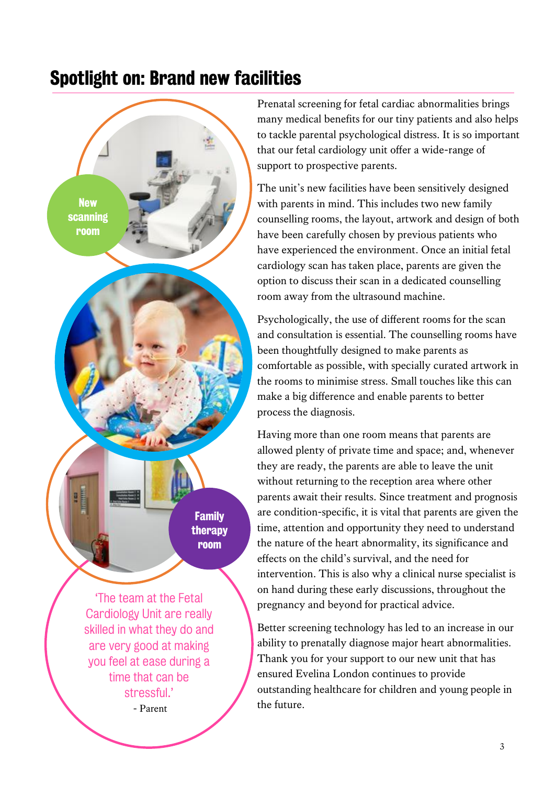### Spotlight on: Brand new facilities



Cardiology Unit are really skilled in what they do and are very good at making you feel at ease during a time that can be stressful.' - Parent

Prenatal screening for fetal cardiac abnormalities brings many medical benefits for our tiny patients and also helps to tackle parental psychological distress. It is so important that our fetal cardiology unit offer a wide-range of support to prospective parents.

The unit's new facilities have been sensitively designed with parents in mind. This includes two new family counselling rooms, the layout, artwork and design of both have been carefully chosen by previous patients who have experienced the environment. Once an initial fetal cardiology scan has taken place, parents are given the option to discuss their scan in a dedicated counselling room away from the ultrasound machine.

Psychologically, the use of different rooms for the scan and consultation is essential. The counselling rooms have been thoughtfully designed to make parents as comfortable as possible, with specially curated artwork in the rooms to minimise stress. Small touches like this can make a big difference and enable parents to better process the diagnosis.

Having more than one room means that parents are allowed plenty of private time and space; and, whenever they are ready, the parents are able to leave the unit without returning to the reception area where other parents await their results. Since treatment and prognosis are condition-specific, it is vital that parents are given the time, attention and opportunity they need to understand the nature of the heart abnormality, its significance and effects on the child's survival, and the need for intervention. This is also why a clinical nurse specialist is on hand during these early discussions, throughout the pregnancy and beyond for practical advice.

Better screening technology has led to an increase in our ability to prenatally diagnose major heart abnormalities. Thank you for your support to our new unit that has ensured Evelina London continues to provide outstanding healthcare for children and young people in the future.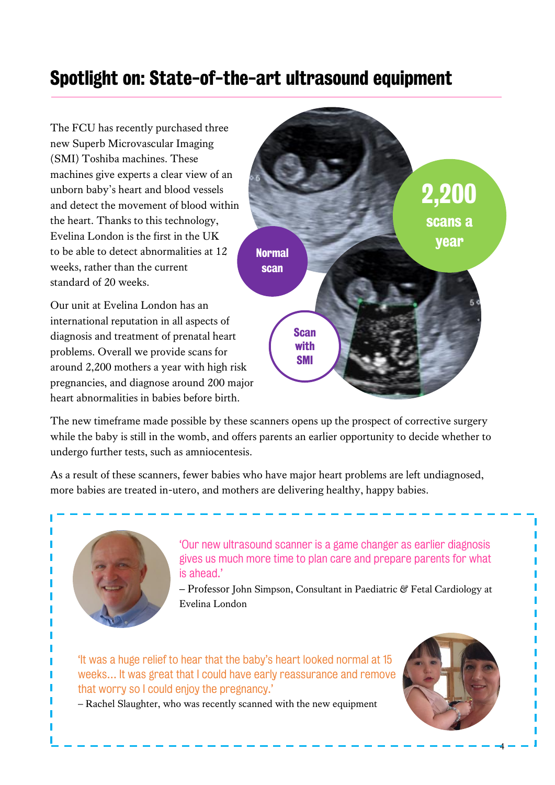## Spotlight on: State-of-the-art ultrasound equipment

The FCU has recently purchased three new Superb Microvascular Imaging (SMI) Toshiba machines. These machines give experts a clear view of an unborn baby's heart and blood vessels and detect the movement of blood within the heart. Thanks to this technology, Evelina London is the first in the UK to be able to detect abnormalities at 12 weeks, rather than the current standard of 20 weeks.

Our unit at Evelina London has an international reputation in all aspects of diagnosis and treatment of prenatal heart problems. Overall we provide scans for around 2,200 mothers a year with high risk pregnancies, and diagnose around 200 major heart abnormalities in babies before birth.



The new timeframe made possible by these scanners opens up the prospect of corrective surgery while the baby is still in the womb, and offers parents an earlier opportunity to decide whether to undergo further tests, such as amniocentesis.

As a result of these scanners, fewer babies who have major heart problems are left undiagnosed, more babies are treated in-utero, and mothers are delivering healthy, happy babies.



'Our new ultrasound scanner is a game changer as earlier diagnosis gives us much more time to plan care and prepare parents for what is ahead.'

– Professor John Simpson, Consultant in Paediatric & Fetal Cardiology at Evelina London

'It was a huge relief to hear that the baby's heart looked normal at 15 weeks… It was great that I could have early reassurance and remove that worry so I could enjoy the pregnancy.'

– Rachel Slaughter, who was recently scanned with the new equipment



4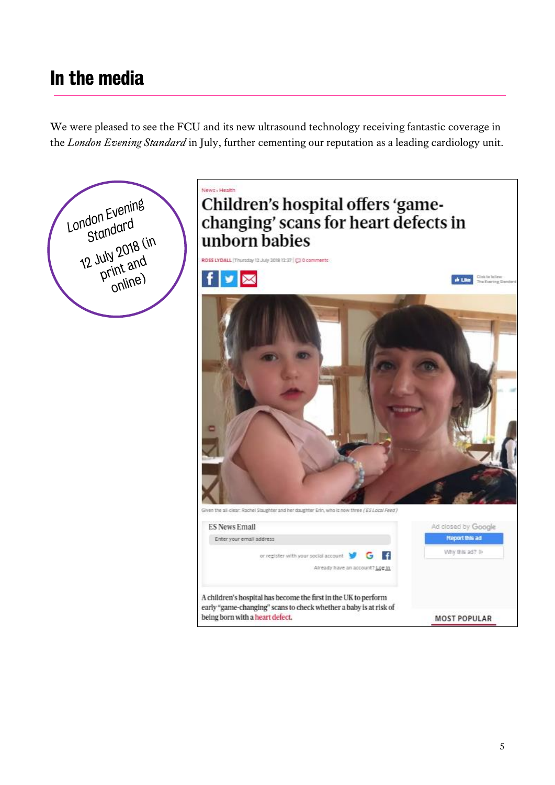### In the media

We were pleased to see the FCU and its new ultrasound technology receiving fantastic coverage in the *London Evening Standard* in July, further cementing our reputation as a leading cardiology unit.